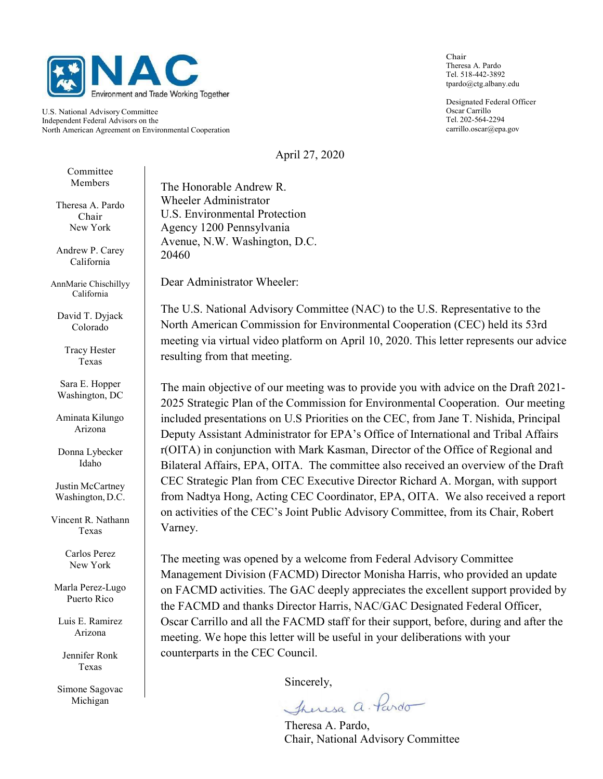

U.S. National Advisory Committee Independent Federal Advisors on the North American Agreement on Environmental Cooperation

Chair Theresa A. Pardo Tel. 518-442-3892 tpardo@ctg.albany.edu

Designated Federal Officer Oscar Carrillo Tel. 202-564-2294 carrillo.oscar@epa.gov

April 27, 2020

Committee

Theresa A. Pardo New York

Andrew P. Carey California

AnnMarie Chischillyy California

David T. Dyjack Colorado

> Tracy Hester Texas

Sara E. Hopper Washington, DC

Aminata Kilungo Arizona

Donna Lybecker Idaho

Justin McCartney Washington, D.C.

Vincent R. Nathann Texas

> Carlos Perez New York

Marla Perez-Lugo Puerto Rico

Luis E. Ramirez Arizona

Jennifer Ronk Texas

Simone Sagovac Michigan

Members The Honorable Andrew R. Chair U.S. Environmental Protection Wheeler Administrator Agency 1200 Pennsylvania Avenue, N.W. Washington, D.C. 20460

Dear Administrator Wheeler:

The U.S. National Advisory Committee (NAC) to the U.S. Representative to the North American Commission for Environmental Cooperation (CEC) held its 53rd meeting via virtual video platform on April 10, 2020. This letter represents our advice resulting from that meeting.

The main objective of our meeting was to provide you with advice on the Draft 2021- 2025 Strategic Plan of the Commission for Environmental Cooperation. Our meeting included presentations on U.S Priorities on the CEC, from Jane T. Nishida, Principal Deputy Assistant Administrator for EPA's Office of International and Tribal Affairs r(OITA) in conjunction with Mark Kasman, Director of the Office of Regional and Bilateral Affairs, EPA, OITA. The committee also received an overview of the Draft CEC Strategic Plan from CEC Executive Director Richard A. Morgan, with support from Nadtya Hong, Acting CEC Coordinator, EPA, OITA. We also received a report on activities of the CEC's Joint Public Advisory Committee, from its Chair, Robert Varney.

The meeting was opened by a welcome from Federal Advisory Committee Management Division (FACMD) Director Monisha Harris, who provided an update on FACMD activities. The GAC deeply appreciates the excellent support provided by the FACMD and thanks Director Harris, NAC/GAC Designated Federal Officer, Oscar Carrillo and all the FACMD staff for their support, before, during and after the meeting. We hope this letter will be useful in your deliberations with your counterparts in the CEC Council.

Sincerely,

Theresa a. Pardo

 Theresa A. Pardo, Chair, National Advisory Committee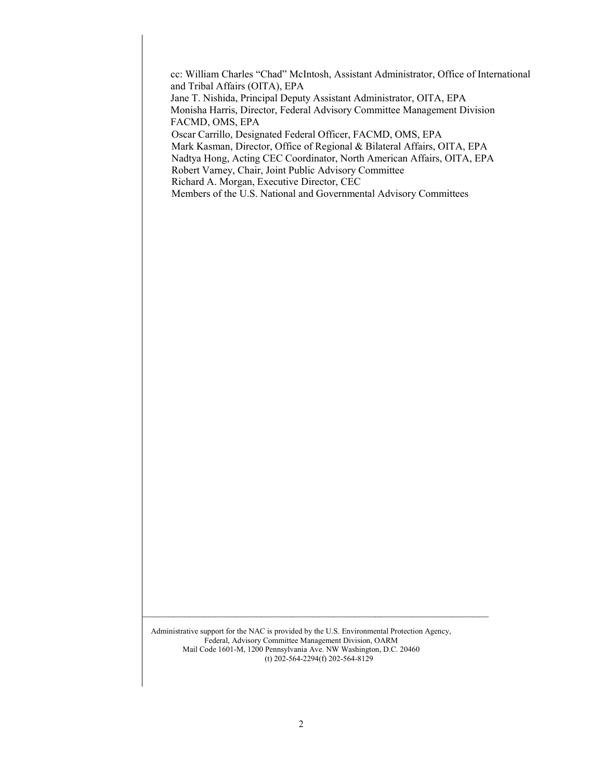cc: William Charles "Chad" McIntosh, Assistant Administrator, Office of International and Tribal Affairs (OITA), EPA Jane T. Nishida, Principal Deputy Assistant Administrator, OITA, EPA Monisha Harris, Director, Federal Advisory Committee Management Division FACMD, OMS, EPA Oscar Carrillo, Designated Federal Officer, FACMD, OMS, EPA Mark Kasman, Director, Office of Regional & Bilateral Affairs, OITA, EPA Nadtya Hong, Acting CEC Coordinator, North American Affairs, OITA, EPA Robert Varney, Chair, Joint Public Advisory Committee Richard A. Morgan, Executive Director, CEC Members of the U.S. National and Governmental Advisory Committees

Administrative support for the NAC is provided by the U.S. Environmental Protection Agency, Federal, Advisory Committee Management Division, OARM Mail Code 1601-M, 1200 Pennsylvania Ave. NW Washington, D.C. 20460 (t) 202-564-2294(f) 202-564-8129

 $\mathcal{L}_\mathcal{L} = \{ \mathcal{L}_\mathcal{L} = \{ \mathcal{L}_\mathcal{L} = \{ \mathcal{L}_\mathcal{L} = \{ \mathcal{L}_\mathcal{L} = \{ \mathcal{L}_\mathcal{L} = \{ \mathcal{L}_\mathcal{L} = \{ \mathcal{L}_\mathcal{L} = \{ \mathcal{L}_\mathcal{L} = \{ \mathcal{L}_\mathcal{L} = \{ \mathcal{L}_\mathcal{L} = \{ \mathcal{L}_\mathcal{L} = \{ \mathcal{L}_\mathcal{L} = \{ \mathcal{L}_\mathcal{L} = \{ \mathcal{L}_\mathcal{$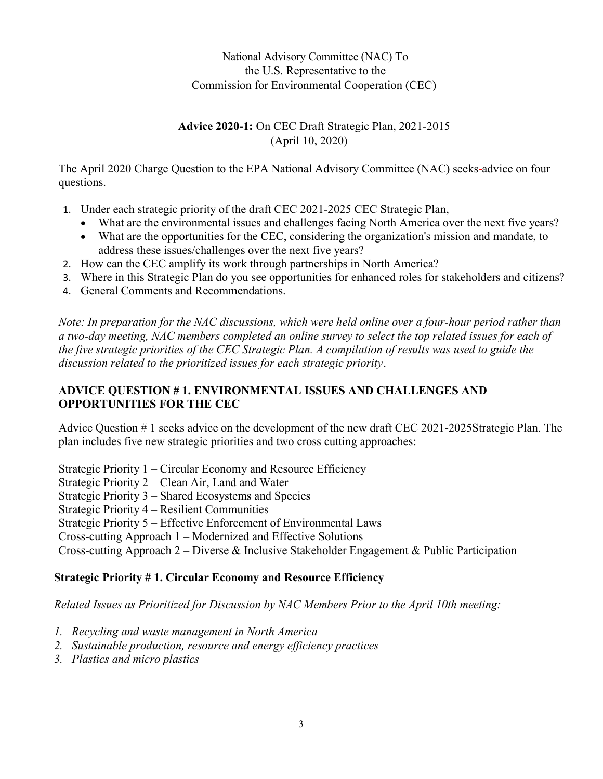## National Advisory Committee (NAC) To the U.S. Representative to the Commission for Environmental Cooperation (CEC)

### Advice 2020-1: On CEC Draft Strategic Plan, 2021-2015 (April 10, 2020)

The April 2020 Charge Question to the EPA National Advisory Committee (NAC) seeks advice on four questions.

- 1. Under each strategic priority of the draft CEC 2021-2025 CEC Strategic Plan,
	- What are the environmental issues and challenges facing North America over the next five years?
	- What are the opportunities for the CEC, considering the organization's mission and mandate, to address these issues/challenges over the next five years?
- 2. How can the CEC amplify its work through partnerships in North America?
- 3. Where in this Strategic Plan do you see opportunities for enhanced roles for stakeholders and citizens?
- 4. General Comments and Recommendations.

Note: In preparation for the NAC discussions, which were held online over a four-hour period rather than a two-day meeting, NAC members completed an online survey to select the top related issues for each of the five strategic priorities of the CEC Strategic Plan. A compilation of results was used to guide the discussion related to the prioritized issues for each strategic priority.

## ADVICE QUESTION # 1. ENVIRONMENTAL ISSUES AND CHALLENGES AND OPPORTUNITIES FOR THE CEC

Advice Question # 1 seeks advice on the development of the new draft CEC 2021-2025Strategic Plan. The plan includes five new strategic priorities and two cross cutting approaches:

Strategic Priority 1 – Circular Economy and Resource Efficiency Strategic Priority 2 – Clean Air, Land and Water Strategic Priority 3 – Shared Ecosystems and Species Strategic Priority 4 – Resilient Communities Strategic Priority 5 – Effective Enforcement of Environmental Laws Cross-cutting Approach 1 – Modernized and Effective Solutions

Cross-cutting Approach 2 – Diverse & Inclusive Stakeholder Engagement & Public Participation

#### Strategic Priority # 1. Circular Economy and Resource Efficiency

Related Issues as Prioritized for Discussion by NAC Members Prior to the April 10th meeting:

- 1. Recycling and waste management in North America
- 2. Sustainable production, resource and energy efficiency practices
- 3. Plastics and micro plastics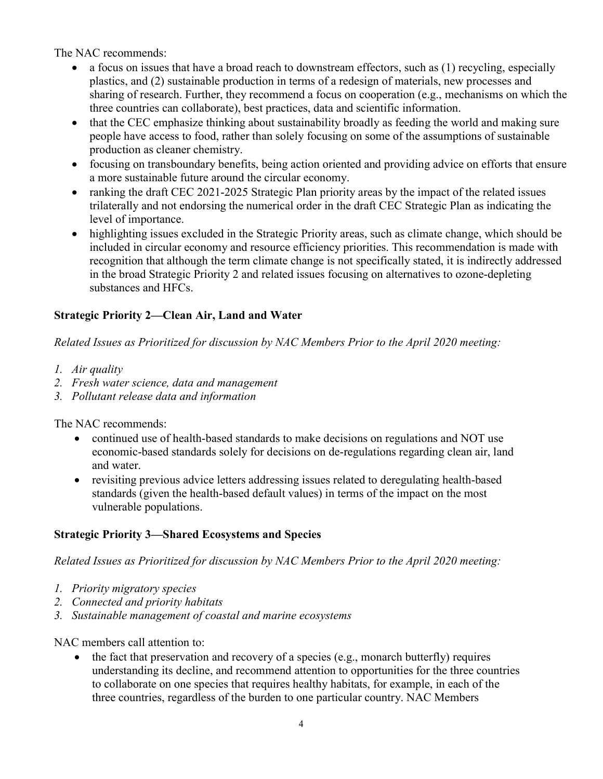The NAC recommends:

- a focus on issues that have a broad reach to downstream effectors, such as (1) recycling, especially plastics, and (2) sustainable production in terms of a redesign of materials, new processes and sharing of research. Further, they recommend a focus on cooperation (e.g., mechanisms on which the three countries can collaborate), best practices, data and scientific information.
- that the CEC emphasize thinking about sustainability broadly as feeding the world and making sure people have access to food, rather than solely focusing on some of the assumptions of sustainable production as cleaner chemistry.
- focusing on transboundary benefits, being action oriented and providing advice on efforts that ensure a more sustainable future around the circular economy.
- ranking the draft CEC 2021-2025 Strategic Plan priority areas by the impact of the related issues trilaterally and not endorsing the numerical order in the draft CEC Strategic Plan as indicating the level of importance.
- highlighting issues excluded in the Strategic Priority areas, such as climate change, which should be included in circular economy and resource efficiency priorities. This recommendation is made with recognition that although the term climate change is not specifically stated, it is indirectly addressed in the broad Strategic Priority 2 and related issues focusing on alternatives to ozone-depleting substances and HFCs.

## Strategic Priority 2—Clean Air, Land and Water

Related Issues as Prioritized for discussion by NAC Members Prior to the April 2020 meeting:

- 1. Air quality
- 2. Fresh water science, data and management
- 3. Pollutant release data and information

The NAC recommends:

- continued use of health-based standards to make decisions on regulations and NOT use economic-based standards solely for decisions on de-regulations regarding clean air, land and water.
- revisiting previous advice letters addressing issues related to deregulating health-based standards (given the health-based default values) in terms of the impact on the most vulnerable populations.

#### Strategic Priority 3—Shared Ecosystems and Species

Related Issues as Prioritized for discussion by NAC Members Prior to the April 2020 meeting:

- 1. Priority migratory species
- 2. Connected and priority habitats
- 3. Sustainable management of coastal and marine ecosystems

#### NAC members call attention to:

 $\bullet$  the fact that preservation and recovery of a species (e.g., monarch butterfly) requires understanding its decline, and recommend attention to opportunities for the three countries to collaborate on one species that requires healthy habitats, for example, in each of the three countries, regardless of the burden to one particular country. NAC Members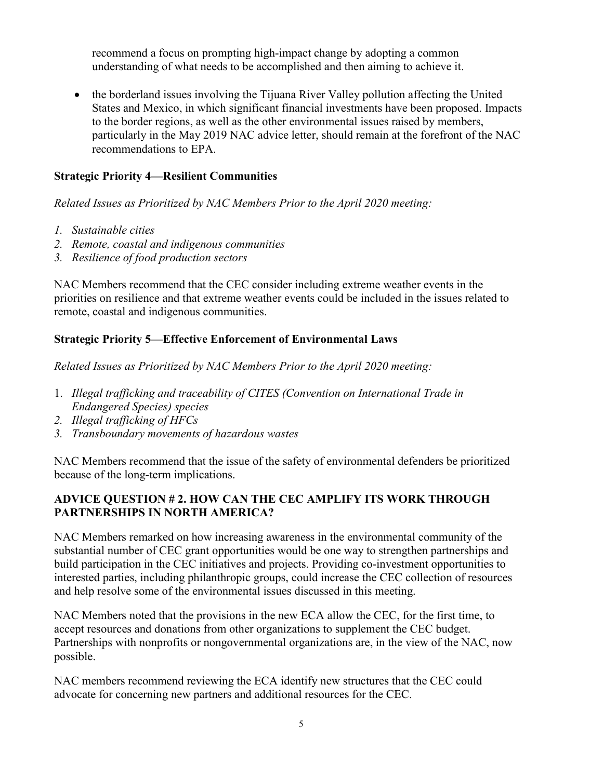recommend a focus on prompting high-impact change by adopting a common understanding of what needs to be accomplished and then aiming to achieve it.

• the borderland issues involving the Tijuana River Valley pollution affecting the United States and Mexico, in which significant financial investments have been proposed. Impacts to the border regions, as well as the other environmental issues raised by members, particularly in the May 2019 NAC advice letter, should remain at the forefront of the NAC recommendations to EPA.

### Strategic Priority 4—Resilient Communities

Related Issues as Prioritized by NAC Members Prior to the April 2020 meeting:

- 1. Sustainable cities
- 2. Remote, coastal and indigenous communities
- 3. Resilience of food production sectors

NAC Members recommend that the CEC consider including extreme weather events in the priorities on resilience and that extreme weather events could be included in the issues related to remote, coastal and indigenous communities.

# Strategic Priority 5—Effective Enforcement of Environmental Laws

Related Issues as Prioritized by NAC Members Prior to the April 2020 meeting:

- 1. Illegal trafficking and traceability of CITES (Convention on International Trade in Endangered Species) species
- 2. Illegal trafficking of HFCs
- 3. Transboundary movements of hazardous wastes

NAC Members recommend that the issue of the safety of environmental defenders be prioritized because of the long-term implications.

#### ADVICE QUESTION # 2. HOW CAN THE CEC AMPLIFY ITS WORK THROUGH PARTNERSHIPS IN NORTH AMERICA?

NAC Members remarked on how increasing awareness in the environmental community of the substantial number of CEC grant opportunities would be one way to strengthen partnerships and build participation in the CEC initiatives and projects. Providing co-investment opportunities to interested parties, including philanthropic groups, could increase the CEC collection of resources and help resolve some of the environmental issues discussed in this meeting.

NAC Members noted that the provisions in the new ECA allow the CEC, for the first time, to accept resources and donations from other organizations to supplement the CEC budget. Partnerships with nonprofits or nongovernmental organizations are, in the view of the NAC, now possible.

NAC members recommend reviewing the ECA identify new structures that the CEC could advocate for concerning new partners and additional resources for the CEC.